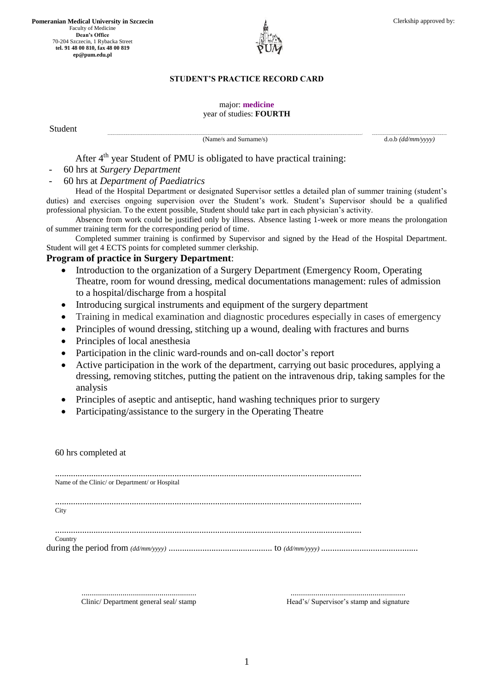**Pomeranian Medical University in Szczecin** Faculty of Medicine **Dean's Office** 70-204 Szczecin, 1 Rybacka Street **tel. 91 48 00 810, fax 48 00 819 ep@pum.edu.pl**



## **STUDENT'S PRACTICE RECORD CARD**

## major: **medicine** year of studies: **FOURTH**

Student

**..............................................................................................................................................................................................................................................................................................................................................................................................................................- ..........................................................................................................................** (Name/s and Surname/s) d.o.b  $\frac{d \cdot d}{d \cdot m \cdot \sqrt{y \cdot y}}$ 

After 4<sup>th</sup> year Student of PMU is obligated to have practical training:

- 60 hrs at *Surgery Department*

- 60 hrs at *Department of Paediatrics* 

Head of the Hospital Department or designated Supervisor settles a detailed plan of summer training (student's duties) and exercises ongoing supervision over the Student's work. Student's Supervisor should be a qualified professional physician. To the extent possible, Student should take part in each physician's activity.

Absence from work could be justified only by illness. Absence lasting 1-week or more means the prolongation of summer training term for the corresponding period of time.

Completed summer training is confirmed by Supervisor and signed by the Head of the Hospital Department. Student will get 4 ECTS points for completed summer clerkship.

## **Program of practice in Surgery Department**:

- Introduction to the organization of a Surgery Department (Emergency Room, Operating Theatre, room for wound dressing, medical documentations management: rules of admission to a hospital/discharge from a hospital
- Introducing surgical instruments and equipment of the surgery department
- Training in medical examination and diagnostic procedures especially in cases of emergency
- Principles of wound dressing, stitching up a wound, dealing with fractures and burns
- Principles of local anesthesia
- Participation in the clinic ward-rounds and on-call doctor's report
- Active participation in the work of the department, carrying out basic procedures, applying a dressing, removing stitches, putting the patient on the intravenous drip, taking samples for the analysis
- Principles of aseptic and antiseptic, hand washing techniques prior to surgery
- Participating/assistance to the surgery in the Operating Theatre

........................................................ Clinic/ Department general seal/ stamp

........................................................ Head's/ Supervisor's stamp and signature